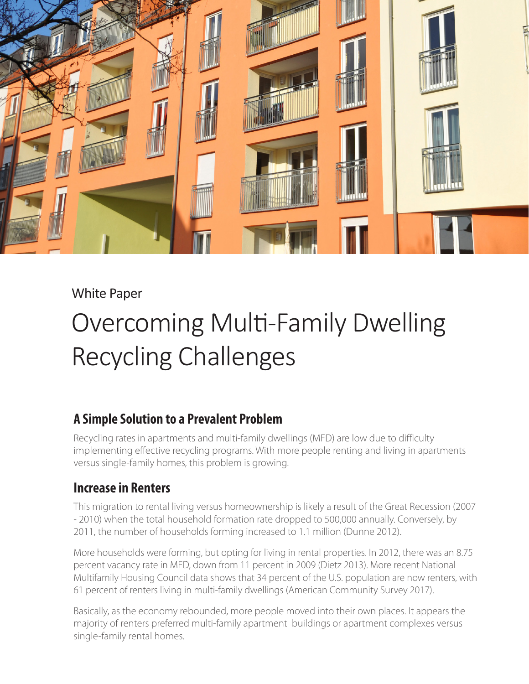

#### White Paper

# Overcoming Multi-Family Dwelling Recycling Challenges

### **A Simple Solution to a Prevalent Problem**

Recycling rates in apartments and multi-family dwellings (MFD) are low due to difficulty implementing effective recycling programs. With more people renting and living in apartments versus single-family homes, this problem is growing.

### **Increase in Renters**

This migration to rental living versus homeownership is likely a result of the Great Recession (2007 - 2010) when the total household formation rate dropped to 500,000 annually. Conversely, by 2011, the number of households forming increased to 1.1 million (Dunne 2012).

More households were forming, but opting for living in rental properties. In 2012, there was an 8.75 percent vacancy rate in MFD, down from 11 percent in 2009 (Dietz 2013). More recent National Multifamily Housing Council data shows that 34 percent of the U.S. population are now renters, with 61 percent of renters living in multi-family dwellings (American Community Survey 2017).

Basically, as the economy rebounded, more people moved into their own places. It appears the majority of renters preferred multi-family apartment buildings or apartment complexes versus single-family rental homes.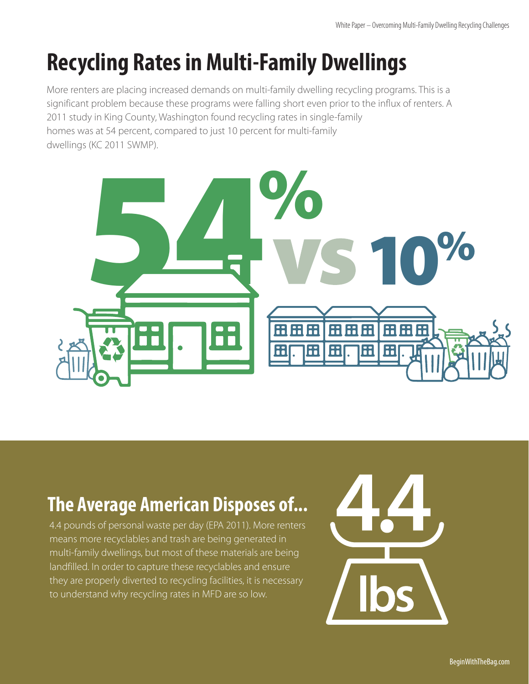# **Recycling Rates in Multi-Family Dwellings**

More renters are placing increased demands on multi-family dwelling recycling programs. This is a significant problem because these programs were falling short even prior to the influx of renters. A 2011 study in King County, Washington found recycling rates in single-family homes was at 54 percent, compared to just 10 percent for multi-family dwellings (KC 2011 SWMP).



### **The Average American Disposes of...**

4.4 pounds of personal waste per day (EPA 2011). More renters means more recyclables and trash are being generated in multi-family dwellings, but most of these materials are being landfilled. In order to capture these recyclables and ensure they are properly diverted to recycling facilities, it is necessary to understand why recycling rates in MFD are so low.

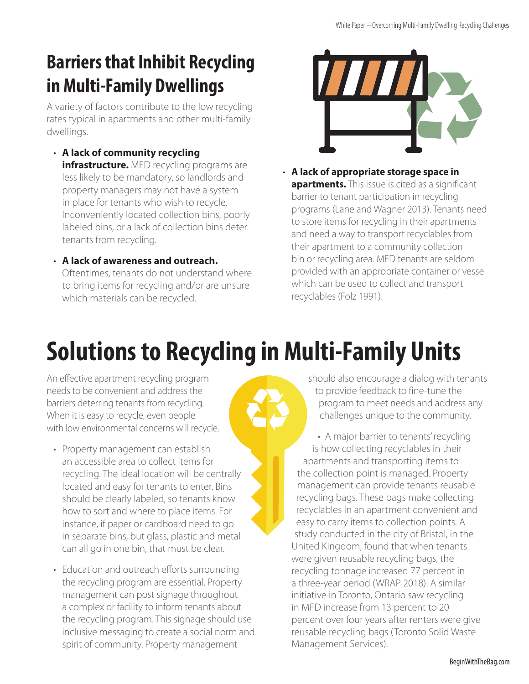## **Barriers that Inhibit Recycling in Multi-Family Dwellings**

A variety of factors contribute to the low recycling rates typical in apartments and other multi-family dwellings.

- **A lack of community recycling infrastructure.** MFD recycling programs are less likely to be mandatory, so landlords and property managers may not have a system in place for tenants who wish to recycle. Inconveniently located collection bins, poorly labeled bins, or a lack of collection bins deter tenants from recycling.
- **A lack of awareness and outreach.** Oftentimes, tenants do not understand where to bring items for recycling and/or are unsure which materials can be recycled.



• **A lack of appropriate storage space in apartments.** This issue is cited as a significant barrier to tenant participation in recycling programs (Lane and Wagner 2013). Tenants need to store items for recycling in their apartments and need a way to transport recyclables from their apartment to a community collection bin or recycling area. MFD tenants are seldom provided with an appropriate container or vessel which can be used to collect and transport recyclables (Folz 1991).

# **Solutions to Recycling in Multi-Family Units**

An effective apartment recycling program needs to be convenient and address the barriers deterring tenants from recycling. When it is easy to recycle, even people with low environmental concerns will recycle.

- Property management can establish an accessible area to collect items for recycling. The ideal location will be centrally located and easy for tenants to enter. Bins should be clearly labeled, so tenants know how to sort and where to place items. For instance, if paper or cardboard need to go in separate bins, but glass, plastic and metal can all go in one bin, that must be clear.
- Education and outreach efforts surrounding the recycling program are essential. Property management can post signage throughout a complex or facility to inform tenants about the recycling program. This signage should use inclusive messaging to create a social norm and spirit of community. Property management

should also encourage a dialog with tenants to provide feedback to fine-tune the program to meet needs and address any challenges unique to the community.

• A major barrier to tenants' recycling is how collecting recyclables in their apartments and transporting items to the collection point is managed. Property management can provide tenants reusable recycling bags. These bags make collecting recyclables in an apartment convenient and easy to carry items to collection points. A study conducted in the city of Bristol, in the United Kingdom, found that when tenants were given reusable recycling bags, the recycling tonnage increased 77 percent in a three-year period (WRAP 2018). A similar initiative in Toronto, Ontario saw recycling in MFD increase from 13 percent to 20 percent over four years after renters were give reusable recycling bags (Toronto Solid Waste Management Services).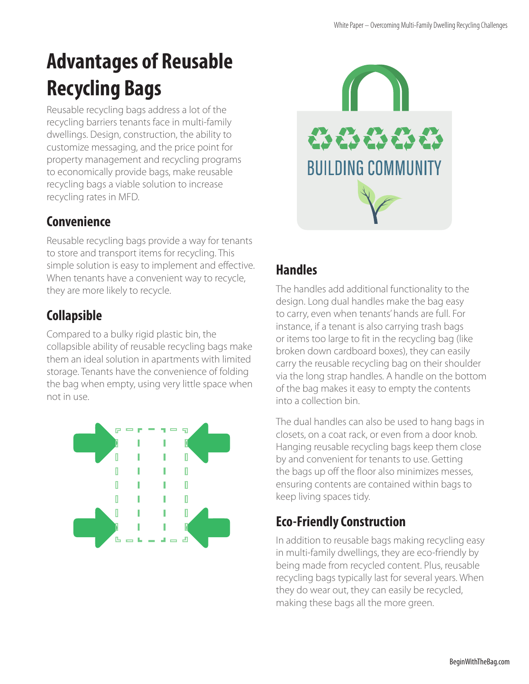## **Advantages of Reusable Recycling Bags**

Reusable recycling bags address a lot of the recycling barriers tenants face in multi-family dwellings. Design, construction, the ability to customize messaging, and the price point for property management and recycling programs to economically provide bags, make reusable recycling bags a viable solution to increase recycling rates in MFD.

### **Convenience**

Reusable recycling bags provide a way for tenants to store and transport items for recycling. This simple solution is easy to implement and effective. When tenants have a convenient way to recycle, they are more likely to recycle.

### **Collapsible**

Compared to a bulky rigid plastic bin, the collapsible ability of reusable recycling bags make them an ideal solution in apartments with limited storage. Tenants have the convenience of folding the bag when empty, using very little space when not in use.





### **Handles**

The handles add additional functionality to the design. Long dual handles make the bag easy to carry, even when tenants' hands are full. For instance, if a tenant is also carrying trash bags or items too large to fit in the recycling bag (like broken down cardboard boxes), they can easily carry the reusable recycling bag on their shoulder via the long strap handles. A handle on the bottom of the bag makes it easy to empty the contents into a collection bin.

The dual handles can also be used to hang bags in closets, on a coat rack, or even from a door knob. Hanging reusable recycling bags keep them close by and convenient for tenants to use. Getting the bags up off the floor also minimizes messes, ensuring contents are contained within bags to keep living spaces tidy.

### **Eco-Friendly Construction**

In addition to reusable bags making recycling easy in multi-family dwellings, they are eco-friendly by being made from recycled content. Plus, reusable recycling bags typically last for several years. When they do wear out, they can easily be recycled, making these bags all the more green.